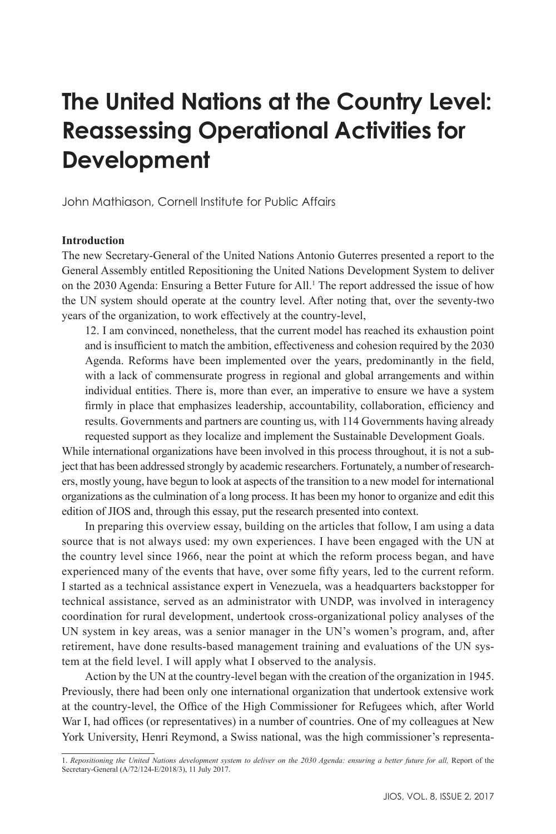# **The United Nations at the Country Level: Reassessing Operational Activities for Development**

John Mathiason, Cornell Institute for Public Affairs

# **Introduction**

The new Secretary-General of the United Nations Antonio Guterres presented a report to the General Assembly entitled Repositioning the United Nations Development System to deliver on the 2030 Agenda: Ensuring a Better Future for All.<sup>1</sup> The report addressed the issue of how the UN system should operate at the country level. After noting that, over the seventy-two years of the organization, to work effectively at the country-level,

12. I am convinced, nonetheless, that the current model has reached its exhaustion point and is insufficient to match the ambition, effectiveness and cohesion required by the 2030 Agenda. Reforms have been implemented over the years, predominantly in the field, with a lack of commensurate progress in regional and global arrangements and within individual entities. There is, more than ever, an imperative to ensure we have a system firmly in place that emphasizes leadership, accountability, collaboration, efficiency and results. Governments and partners are counting us, with 114 Governments having already

requested support as they localize and implement the Sustainable Development Goals. While international organizations have been involved in this process throughout, it is not a subject that has been addressed strongly by academic researchers. Fortunately, a number of researchers, mostly young, have begun to look at aspects of the transition to a new model for international organizations as the culmination of a long process. It has been my honor to organize and edit this edition of JIOS and, through this essay, put the research presented into context.

In preparing this overview essay, building on the articles that follow, I am using a data source that is not always used: my own experiences. I have been engaged with the UN at the country level since 1966, near the point at which the reform process began, and have experienced many of the events that have, over some fifty years, led to the current reform. I started as a technical assistance expert in Venezuela, was a headquarters backstopper for technical assistance, served as an administrator with UNDP, was involved in interagency coordination for rural development, undertook cross-organizational policy analyses of the UN system in key areas, was a senior manager in the UN's women's program, and, after retirement, have done results-based management training and evaluations of the UN system at the field level. I will apply what I observed to the analysis.

Action by the UN at the country-level began with the creation of the organization in 1945. Previously, there had been only one international organization that undertook extensive work at the country-level, the Office of the High Commissioner for Refugees which, after World War I, had offices (or representatives) in a number of countries. One of my colleagues at New York University, Henri Reymond, a Swiss national, was the high commissioner's representa-

<sup>1</sup>*. Repositioning the United Nations development system to deliver on the 2030 Agenda: ensuring a better future for all,* Report of the Secretary-General (A/72/124-E/2018/3), 11 July 2017.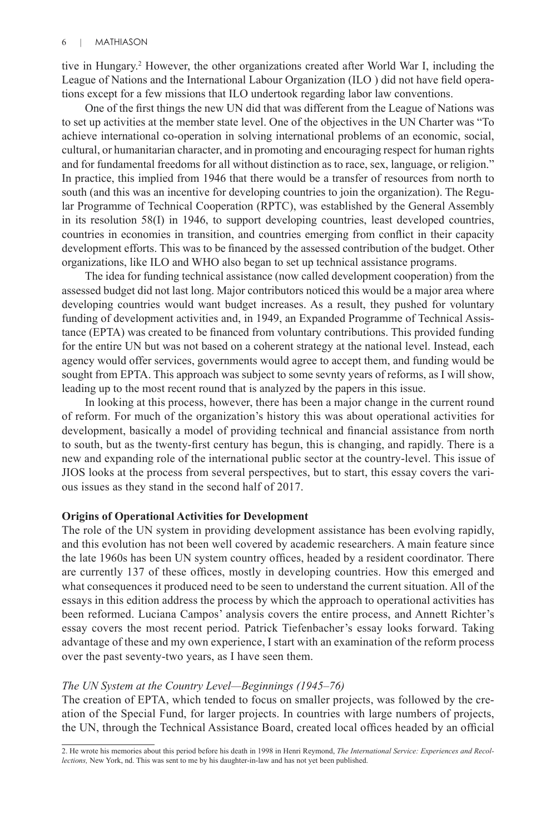tive in Hungary.2 However, the other organizations created after World War I, including the League of Nations and the International Labour Organization (ILO ) did not have field operations except for a few missions that ILO undertook regarding labor law conventions.

One of the first things the new UN did that was different from the League of Nations was to set up activities at the member state level. One of the objectives in the UN Charter was "To achieve international co-operation in solving international problems of an economic, social, cultural, or humanitarian character, and in promoting and encouraging respect for human rights and for fundamental freedoms for all without distinction as to race, sex, language, or religion." In practice, this implied from 1946 that there would be a transfer of resources from north to south (and this was an incentive for developing countries to join the organization). The Regular Programme of Technical Cooperation (RPTC), was established by the General Assembly in its resolution 58(I) in 1946, to support developing countries, least developed countries, countries in economies in transition, and countries emerging from conflict in their capacity development efforts. This was to be financed by the assessed contribution of the budget. Other organizations, like ILO and WHO also began to set up technical assistance programs.

The idea for funding technical assistance (now called development cooperation) from the assessed budget did not last long. Major contributors noticed this would be a major area where developing countries would want budget increases. As a result, they pushed for voluntary funding of development activities and, in 1949, an Expanded Programme of Technical Assistance (EPTA) was created to be financed from voluntary contributions. This provided funding for the entire UN but was not based on a coherent strategy at the national level. Instead, each agency would offer services, governments would agree to accept them, and funding would be sought from EPTA. This approach was subject to some sevnty years of reforms, as I will show, leading up to the most recent round that is analyzed by the papers in this issue.

In looking at this process, however, there has been a major change in the current round of reform. For much of the organization's history this was about operational activities for development, basically a model of providing technical and financial assistance from north to south, but as the twenty-first century has begun, this is changing, and rapidly. There is a new and expanding role of the international public sector at the country-level. This issue of JIOS looks at the process from several perspectives, but to start, this essay covers the various issues as they stand in the second half of 2017.

#### **Origins of Operational Activities for Development**

The role of the UN system in providing development assistance has been evolving rapidly, and this evolution has not been well covered by academic researchers. A main feature since the late 1960s has been UN system country offices, headed by a resident coordinator. There are currently 137 of these offices, mostly in developing countries. How this emerged and what consequences it produced need to be seen to understand the current situation. All of the essays in this edition address the process by which the approach to operational activities has been reformed. Luciana Campos' analysis covers the entire process, and Annett Richter's essay covers the most recent period. Patrick Tiefenbacher's essay looks forward. Taking advantage of these and my own experience, I start with an examination of the reform process over the past seventy-two years, as I have seen them.

#### *The UN System at the Country Level—Beginnings (1945–76)*

The creation of EPTA, which tended to focus on smaller projects, was followed by the creation of the Special Fund, for larger projects. In countries with large numbers of projects, the UN, through the Technical Assistance Board, created local offices headed by an official

<sup>2.</sup> He wrote his memories about this period before his death in 1998 in Henri Reymond, *The International Service: Experiences and Recollections,* New York, nd. This was sent to me by his daughter-in-law and has not yet been published.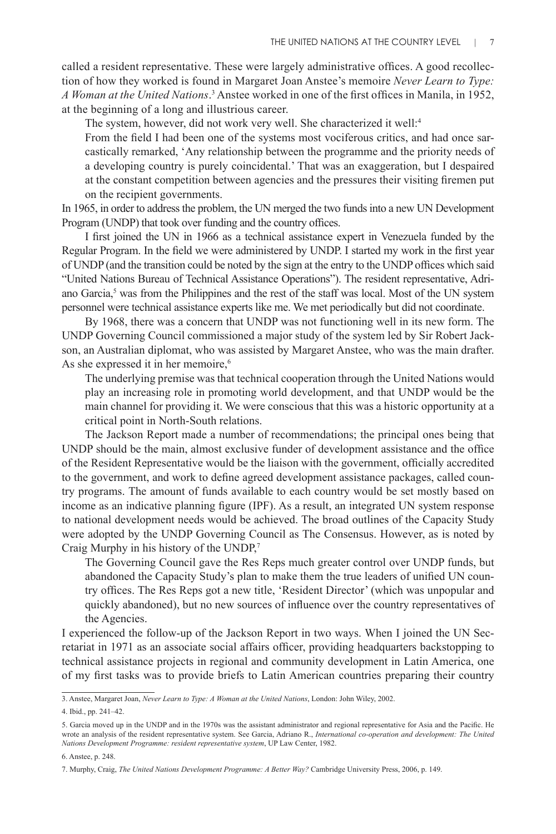called a resident representative. These were largely administrative offices. A good recollection of how they worked is found in Margaret Joan Anstee's memoire *Never Learn to Type:*  A Woman at the United Nations.<sup>3</sup> Anstee worked in one of the first offices in Manila, in 1952, at the beginning of a long and illustrious career.

The system, however, did not work very well. She characterized it well:4

From the field I had been one of the systems most vociferous critics, and had once sarcastically remarked, 'Any relationship between the programme and the priority needs of a developing country is purely coincidental.' That was an exaggeration, but I despaired at the constant competition between agencies and the pressures their visiting firemen put on the recipient governments.

In 1965, in order to address the problem, the UN merged the two funds into a new UN Development Program (UNDP) that took over funding and the country offices.

I first joined the UN in 1966 as a technical assistance expert in Venezuela funded by the Regular Program. In the field we were administered by UNDP. I started my work in the first year of UNDP (and the transition could be noted by the sign at the entry to the UNDP offices which said "United Nations Bureau of Technical Assistance Operations"). The resident representative, Adriano Garcia,<sup>5</sup> was from the Philippines and the rest of the staff was local. Most of the UN system personnel were technical assistance experts like me. We met periodically but did not coordinate.

By 1968, there was a concern that UNDP was not functioning well in its new form. The UNDP Governing Council commissioned a major study of the system led by Sir Robert Jackson, an Australian diplomat, who was assisted by Margaret Anstee, who was the main drafter. As she expressed it in her memoire,<sup>6</sup>

The underlying premise was that technical cooperation through the United Nations would play an increasing role in promoting world development, and that UNDP would be the main channel for providing it. We were conscious that this was a historic opportunity at a critical point in North-South relations.

The Jackson Report made a number of recommendations; the principal ones being that UNDP should be the main, almost exclusive funder of development assistance and the office of the Resident Representative would be the liaison with the government, officially accredited to the government, and work to define agreed development assistance packages, called country programs. The amount of funds available to each country would be set mostly based on income as an indicative planning figure (IPF). As a result, an integrated UN system response to national development needs would be achieved. The broad outlines of the Capacity Study were adopted by the UNDP Governing Council as The Consensus. However, as is noted by Craig Murphy in his history of the UNDP,<sup>7</sup>

The Governing Council gave the Res Reps much greater control over UNDP funds, but abandoned the Capacity Study's plan to make them the true leaders of unified UN country offices. The Res Reps got a new title, 'Resident Director' (which was unpopular and quickly abandoned), but no new sources of influence over the country representatives of the Agencies.

I experienced the follow-up of the Jackson Report in two ways. When I joined the UN Secretariat in 1971 as an associate social affairs officer, providing headquarters backstopping to technical assistance projects in regional and community development in Latin America, one of my first tasks was to provide briefs to Latin American countries preparing their country

<sup>3.</sup> Anstee, Margaret Joan, *Never Learn to Type: A Woman at the United Nations*, London: John Wiley, 2002.

<sup>4.</sup> Ibid., pp. 241–42.

<sup>5.</sup> Garcia moved up in the UNDP and in the 1970s was the assistant administrator and regional representative for Asia and the Pacific. He wrote an analysis of the resident representative system. See Garcia, Adriano R., *International co-operation and development: The United Nations Development Programme: resident representative system*, UP Law Center, 1982.

<sup>6.</sup> Anstee, p. 248.

<sup>7.</sup> Murphy, Craig, *The United Nations Development Programme: A Better Way?* Cambridge University Press, 2006, p. 149.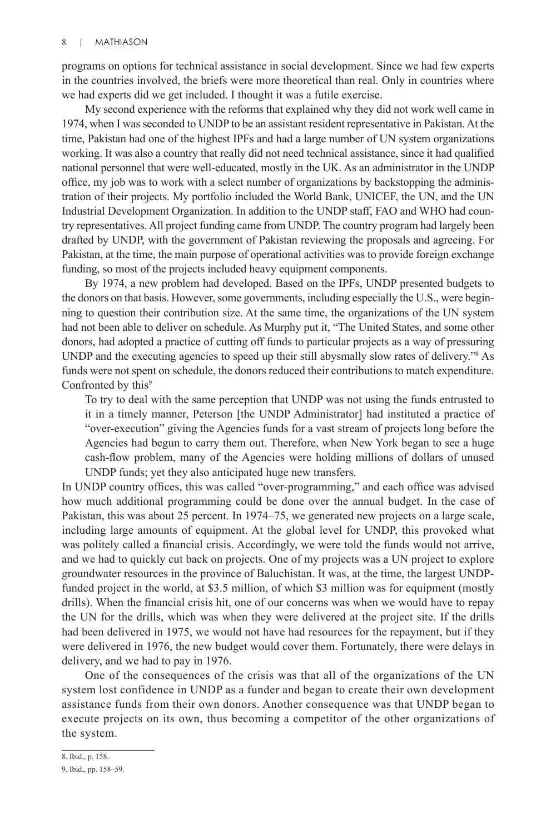programs on options for technical assistance in social development. Since we had few experts in the countries involved, the briefs were more theoretical than real. Only in countries where we had experts did we get included. I thought it was a futile exercise.

My second experience with the reforms that explained why they did not work well came in 1974, when I was seconded to UNDP to be an assistant resident representative in Pakistan. At the time, Pakistan had one of the highest IPFs and had a large number of UN system organizations working. It was also a country that really did not need technical assistance, since it had qualified national personnel that were well-educated, mostly in the UK. As an administrator in the UNDP office, my job was to work with a select number of organizations by backstopping the administration of their projects. My portfolio included the World Bank, UNICEF, the UN, and the UN Industrial Development Organization. In addition to the UNDP staff, FAO and WHO had country representatives. All project funding came from UNDP. The country program had largely been drafted by UNDP, with the government of Pakistan reviewing the proposals and agreeing. For Pakistan, at the time, the main purpose of operational activities was to provide foreign exchange funding, so most of the projects included heavy equipment components.

By 1974, a new problem had developed. Based on the IPFs, UNDP presented budgets to the donors on that basis. However, some governments, including especially the U.S., were beginning to question their contribution size. At the same time, the organizations of the UN system had not been able to deliver on schedule. As Murphy put it, "The United States, and some other donors, had adopted a practice of cutting off funds to particular projects as a way of pressuring UNDP and the executing agencies to speed up their still abysmally slow rates of delivery."8 As funds were not spent on schedule, the donors reduced their contributions to match expenditure. Confronted by this<sup>9</sup>

To try to deal with the same perception that UNDP was not using the funds entrusted to it in a timely manner, Peterson [the UNDP Administrator] had instituted a practice of "over-execution" giving the Agencies funds for a vast stream of projects long before the Agencies had begun to carry them out. Therefore, when New York began to see a huge cash-flow problem, many of the Agencies were holding millions of dollars of unused UNDP funds; yet they also anticipated huge new transfers.

In UNDP country offices, this was called "over-programming," and each office was advised how much additional programming could be done over the annual budget. In the case of Pakistan, this was about 25 percent. In 1974–75, we generated new projects on a large scale, including large amounts of equipment. At the global level for UNDP, this provoked what was politely called a financial crisis. Accordingly, we were told the funds would not arrive, and we had to quickly cut back on projects. One of my projects was a UN project to explore groundwater resources in the province of Baluchistan. It was, at the time, the largest UNDPfunded project in the world, at \$3.5 million, of which \$3 million was for equipment (mostly drills). When the financial crisis hit, one of our concerns was when we would have to repay the UN for the drills, which was when they were delivered at the project site. If the drills had been delivered in 1975, we would not have had resources for the repayment, but if they were delivered in 1976, the new budget would cover them. Fortunately, there were delays in delivery, and we had to pay in 1976.

One of the consequences of the crisis was that all of the organizations of the UN system lost confidence in UNDP as a funder and began to create their own development assistance funds from their own donors. Another consequence was that UNDP began to execute projects on its own, thus becoming a competitor of the other organizations of the system.

<sup>8.</sup> Ibid., p. 158.

<sup>9.</sup> Ibid., pp. 158–59.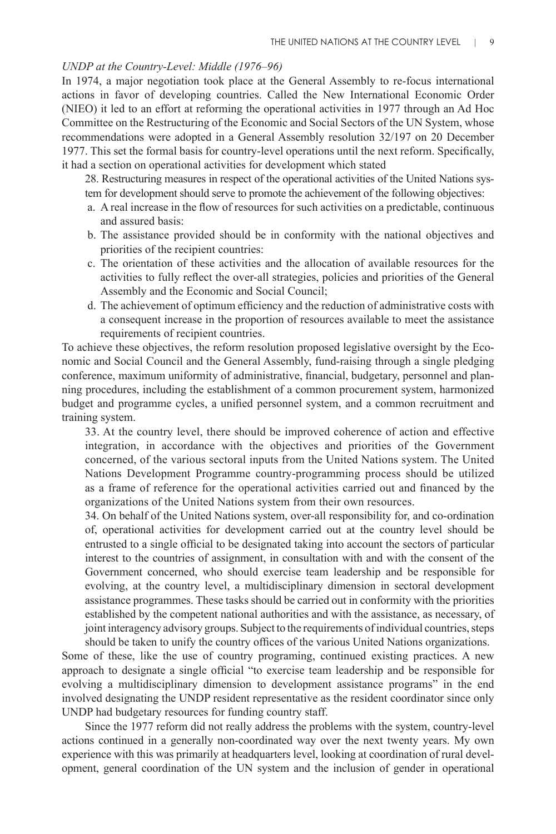# *UNDP at the Country-Level: Middle (1976–96)*

In 1974, a major negotiation took place at the General Assembly to re-focus international actions in favor of developing countries. Called the New International Economic Order (NIEO) it led to an effort at reforming the operational activities in 1977 through an Ad Hoc Committee on the Restructuring of the Economic and Social Sectors of the UN System, whose recommendations were adopted in a General Assembly resolution 32/197 on 20 December 1977. This set the formal basis for country-level operations until the next reform. Specifically, it had a section on operational activities for development which stated

28. Restructuring measures in respect of the operational activities of the United Nations system for development should serve to promote the achievement of the following objectives:

- a. A real increase in the flow of resources for such activities on a predictable, continuous and assured basis:
- b. The assistance provided should be in conformity with the national objectives and priorities of the recipient countries:
- c. The orientation of these activities and the allocation of available resources for the activities to fully reflect the over-all strategies, policies and priorities of the General Assembly and the Economic and Social Council;
- d. The achievement of optimum efficiency and the reduction of administrative costs with a consequent increase in the proportion of resources available to meet the assistance requirements of recipient countries.

To achieve these objectives, the reform resolution proposed legislative oversight by the Economic and Social Council and the General Assembly, fund-raising through a single pledging conference, maximum uniformity of administrative, financial, budgetary, personnel and planning procedures, including the establishment of a common procurement system, harmonized budget and programme cycles, a unified personnel system, and a common recruitment and training system.

33. At the country level, there should be improved coherence of action and effective integration, in accordance with the objectives and priorities of the Government concerned, of the various sectoral inputs from the United Nations system. The United Nations Development Programme country-programming process should be utilized as a frame of reference for the operational activities carried out and financed by the organizations of the United Nations system from their own resources.

34. On behalf of the United Nations system, over-all responsibility for, and co-ordination of, operational activities for development carried out at the country level should be entrusted to a single official to be designated taking into account the sectors of particular interest to the countries of assignment, in consultation with and with the consent of the Government concerned, who should exercise team leadership and be responsible for evolving, at the country level, a multidisciplinary dimension in sectoral development assistance programmes. These tasks should be carried out in conformity with the priorities established by the competent national authorities and with the assistance, as necessary, of joint interagency advisory groups. Subject to the requirements of individual countries, steps should be taken to unify the country offices of the various United Nations organizations.

Some of these, like the use of country programing, continued existing practices. A new approach to designate a single official "to exercise team leadership and be responsible for evolving a multidisciplinary dimension to development assistance programs" in the end involved designating the UNDP resident representative as the resident coordinator since only UNDP had budgetary resources for funding country staff.

Since the 1977 reform did not really address the problems with the system, country-level actions continued in a generally non-coordinated way over the next twenty years. My own experience with this was primarily at headquarters level, looking at coordination of rural development, general coordination of the UN system and the inclusion of gender in operational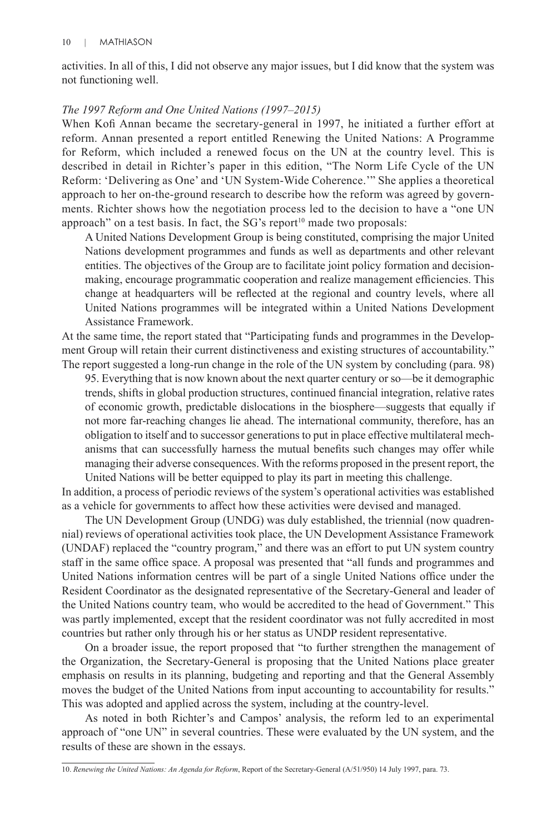activities. In all of this, I did not observe any major issues, but I did know that the system was not functioning well.

#### *The 1997 Reform and One United Nations (1997–2015)*

When Kofi Annan became the secretary-general in 1997, he initiated a further effort at reform. Annan presented a report entitled Renewing the United Nations: A Programme for Reform, which included a renewed focus on the UN at the country level. This is described in detail in Richter's paper in this edition, "The Norm Life Cycle of the UN Reform: 'Delivering as One' and 'UN System-Wide Coherence.'" She applies a theoretical approach to her on-the-ground research to describe how the reform was agreed by governments. Richter shows how the negotiation process led to the decision to have a "one UN approach" on a test basis. In fact, the  $SG's$  report<sup>10</sup> made two proposals:

A United Nations Development Group is being constituted, comprising the major United Nations development programmes and funds as well as departments and other relevant entities. The objectives of the Group are to facilitate joint policy formation and decisionmaking, encourage programmatic cooperation and realize management efficiencies. This change at headquarters will be reflected at the regional and country levels, where all United Nations programmes will be integrated within a United Nations Development Assistance Framework.

At the same time, the report stated that "Participating funds and programmes in the Development Group will retain their current distinctiveness and existing structures of accountability." The report suggested a long-run change in the role of the UN system by concluding (para. 98)

95. Everything that is now known about the next quarter century or so—be it demographic trends, shifts in global production structures, continued financial integration, relative rates of economic growth, predictable dislocations in the biosphere—suggests that equally if not more far-reaching changes lie ahead. The international community, therefore, has an obligation to itself and to successor generations to put in place effective multilateral mechanisms that can successfully harness the mutual benefits such changes may offer while managing their adverse consequences. With the reforms proposed in the present report, the United Nations will be better equipped to play its part in meeting this challenge.

In addition, a process of periodic reviews of the system's operational activities was established as a vehicle for governments to affect how these activities were devised and managed.

The UN Development Group (UNDG) was duly established, the triennial (now quadrennial) reviews of operational activities took place, the UN Development Assistance Framework (UNDAF) replaced the "country program," and there was an effort to put UN system country staff in the same office space. A proposal was presented that "all funds and programmes and United Nations information centres will be part of a single United Nations office under the Resident Coordinator as the designated representative of the Secretary-General and leader of the United Nations country team, who would be accredited to the head of Government." This was partly implemented, except that the resident coordinator was not fully accredited in most countries but rather only through his or her status as UNDP resident representative.

On a broader issue, the report proposed that "to further strengthen the management of the Organization, the Secretary-General is proposing that the United Nations place greater emphasis on results in its planning, budgeting and reporting and that the General Assembly moves the budget of the United Nations from input accounting to accountability for results." This was adopted and applied across the system, including at the country-level.

As noted in both Richter's and Campos' analysis, the reform led to an experimental approach of "one UN" in several countries. These were evaluated by the UN system, and the results of these are shown in the essays.

<sup>10.</sup> *Renewing the United Nations: An Agenda for Reform*, Report of the Secretary-General (A/51/950) 14 July 1997, para. 73.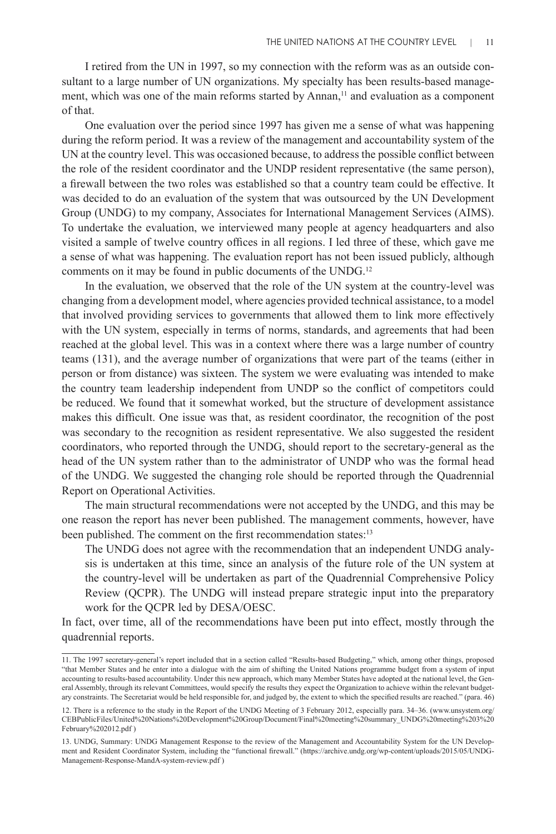I retired from the UN in 1997, so my connection with the reform was as an outside consultant to a large number of UN organizations. My specialty has been results-based management, which was one of the main reforms started by Annan,<sup>11</sup> and evaluation as a component of that.

One evaluation over the period since 1997 has given me a sense of what was happening during the reform period. It was a review of the management and accountability system of the UN at the country level. This was occasioned because, to address the possible conflict between the role of the resident coordinator and the UNDP resident representative (the same person), a firewall between the two roles was established so that a country team could be effective. It was decided to do an evaluation of the system that was outsourced by the UN Development Group (UNDG) to my company, Associates for International Management Services (AIMS). To undertake the evaluation, we interviewed many people at agency headquarters and also visited a sample of twelve country offices in all regions. I led three of these, which gave me a sense of what was happening. The evaluation report has not been issued publicly, although comments on it may be found in public documents of the UNDG.12

In the evaluation, we observed that the role of the UN system at the country-level was changing from a development model, where agencies provided technical assistance, to a model that involved providing services to governments that allowed them to link more effectively with the UN system, especially in terms of norms, standards, and agreements that had been reached at the global level. This was in a context where there was a large number of country teams (131), and the average number of organizations that were part of the teams (either in person or from distance) was sixteen. The system we were evaluating was intended to make the country team leadership independent from UNDP so the conflict of competitors could be reduced. We found that it somewhat worked, but the structure of development assistance makes this difficult. One issue was that, as resident coordinator, the recognition of the post was secondary to the recognition as resident representative. We also suggested the resident coordinators, who reported through the UNDG, should report to the secretary-general as the head of the UN system rather than to the administrator of UNDP who was the formal head of the UNDG. We suggested the changing role should be reported through the Quadrennial Report on Operational Activities.

The main structural recommendations were not accepted by the UNDG, and this may be one reason the report has never been published. The management comments, however, have been published. The comment on the first recommendation states:<sup>13</sup>

The UNDG does not agree with the recommendation that an independent UNDG analysis is undertaken at this time, since an analysis of the future role of the UN system at the country-level will be undertaken as part of the Quadrennial Comprehensive Policy Review (QCPR). The UNDG will instead prepare strategic input into the preparatory work for the QCPR led by DESA/OESC.

In fact, over time, all of the recommendations have been put into effect, mostly through the quadrennial reports.

<sup>11.</sup> The 1997 secretary-general's report included that in a section called "Results-based Budgeting," which, among other things, proposed "that Member States and he enter into a dialogue with the aim of shifting the United Nations programme budget from a system of input accounting to results-based accountability. Under this new approach, which many Member States have adopted at the national level, the General Assembly, through its relevant Committees, would specify the results they expect the Organization to achieve within the relevant budgetary constraints. The Secretariat would be held responsible for, and judged by, the extent to which the specified results are reached." (para. 46)

<sup>12.</sup> There is a reference to the study in the Report of the UNDG Meeting of 3 February 2012, especially para. 34–36. (www.unsystem.org/ CEBPublicFiles/United%20Nations%20Development%20Group/Document/Final%20meeting%20summary\_UNDG%20meeting%203%20 February%202012.pdf )

<sup>13.</sup> UNDG, Summary: UNDG Management Response to the review of the Management and Accountability System for the UN Development and Resident Coordinator System, including the "functional firewall." (https://archive.undg.org/wp-content/uploads/2015/05/UNDG-Management-Response-MandA-system-review.pdf )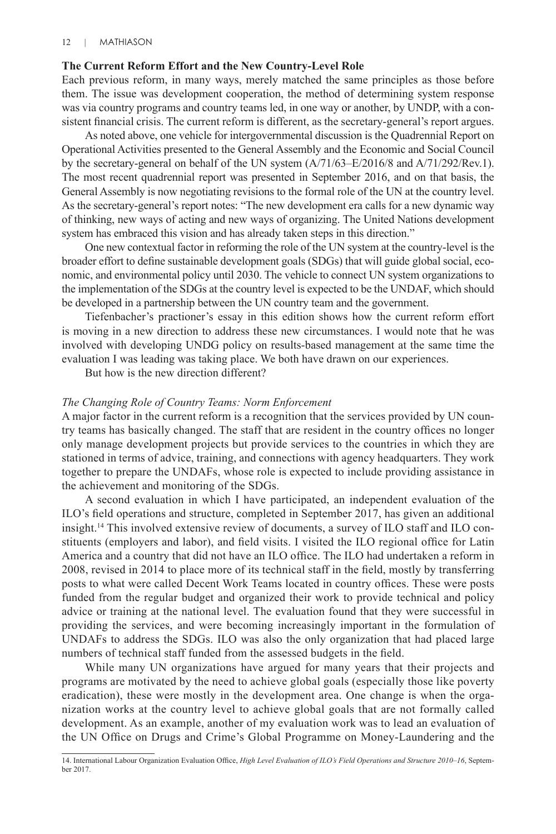# **The Current Reform Effort and the New Country-Level Role**

Each previous reform, in many ways, merely matched the same principles as those before them. The issue was development cooperation, the method of determining system response was via country programs and country teams led, in one way or another, by UNDP, with a consistent financial crisis. The current reform is different, as the secretary-general's report argues.

As noted above, one vehicle for intergovernmental discussion is the Quadrennial Report on Operational Activities presented to the General Assembly and the Economic and Social Council by the secretary-general on behalf of the UN system (A/71/63–E/2016/8 and A/71/292/Rev.1). The most recent quadrennial report was presented in September 2016, and on that basis, the General Assembly is now negotiating revisions to the formal role of the UN at the country level. As the secretary-general's report notes: "The new development era calls for a new dynamic way of thinking, new ways of acting and new ways of organizing. The United Nations development system has embraced this vision and has already taken steps in this direction."

One new contextual factor in reforming the role of the UN system at the country-level is the broader effort to define sustainable development goals (SDGs) that will guide global social, economic, and environmental policy until 2030. The vehicle to connect UN system organizations to the implementation of the SDGs at the country level is expected to be the UNDAF, which should be developed in a partnership between the UN country team and the government.

Tiefenbacher's practioner's essay in this edition shows how the current reform effort is moving in a new direction to address these new circumstances. I would note that he was involved with developing UNDG policy on results-based management at the same time the evaluation I was leading was taking place. We both have drawn on our experiences.

But how is the new direction different?

# *The Changing Role of Country Teams: Norm Enforcement*

A major factor in the current reform is a recognition that the services provided by UN country teams has basically changed. The staff that are resident in the country offices no longer only manage development projects but provide services to the countries in which they are stationed in terms of advice, training, and connections with agency headquarters. They work together to prepare the UNDAFs, whose role is expected to include providing assistance in the achievement and monitoring of the SDGs.

A second evaluation in which I have participated, an independent evaluation of the ILO's field operations and structure, completed in September 2017, has given an additional insight.14 This involved extensive review of documents, a survey of ILO staff and ILO constituents (employers and labor), and field visits. I visited the ILO regional office for Latin America and a country that did not have an ILO office. The ILO had undertaken a reform in 2008, revised in 2014 to place more of its technical staff in the field, mostly by transferring posts to what were called Decent Work Teams located in country offices. These were posts funded from the regular budget and organized their work to provide technical and policy advice or training at the national level. The evaluation found that they were successful in providing the services, and were becoming increasingly important in the formulation of UNDAFs to address the SDGs. ILO was also the only organization that had placed large numbers of technical staff funded from the assessed budgets in the field.

While many UN organizations have argued for many years that their projects and programs are motivated by the need to achieve global goals (especially those like poverty eradication), these were mostly in the development area. One change is when the organization works at the country level to achieve global goals that are not formally called development. As an example, another of my evaluation work was to lead an evaluation of the UN Office on Drugs and Crime's Global Programme on Money-Laundering and the

<sup>14.</sup> International Labour Organization Evaluation Office, *High Level Evaluation of ILO's Field Operations and Structure 2010–16*, September 2017.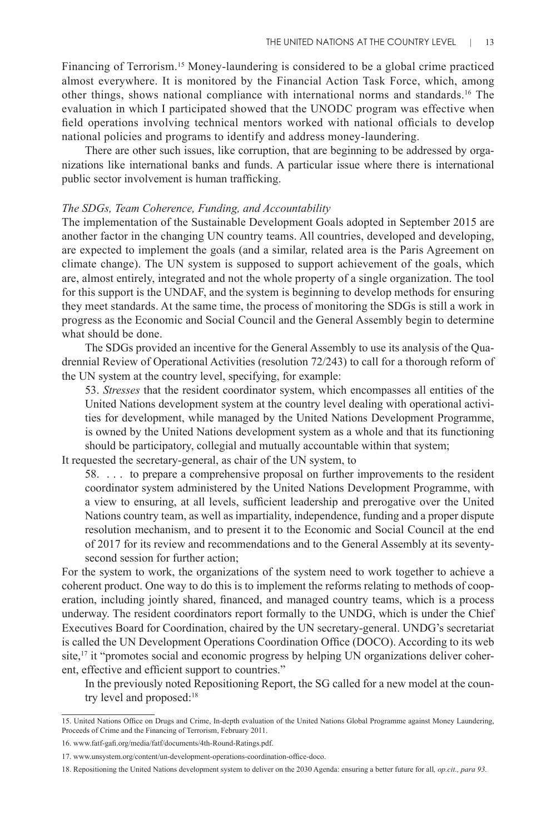Financing of Terrorism.15 Money-laundering is considered to be a global crime practiced almost everywhere. It is monitored by the Financial Action Task Force, which, among other things, shows national compliance with international norms and standards.16 The evaluation in which I participated showed that the UNODC program was effective when field operations involving technical mentors worked with national officials to develop national policies and programs to identify and address money-laundering.

There are other such issues, like corruption, that are beginning to be addressed by organizations like international banks and funds. A particular issue where there is international public sector involvement is human trafficking.

#### *The SDGs, Team Coherence, Funding, and Accountability*

The implementation of the Sustainable Development Goals adopted in September 2015 are another factor in the changing UN country teams. All countries, developed and developing, are expected to implement the goals (and a similar, related area is the Paris Agreement on climate change). The UN system is supposed to support achievement of the goals, which are, almost entirely, integrated and not the whole property of a single organization. The tool for this support is the UNDAF, and the system is beginning to develop methods for ensuring they meet standards. At the same time, the process of monitoring the SDGs is still a work in progress as the Economic and Social Council and the General Assembly begin to determine what should be done.

The SDGs provided an incentive for the General Assembly to use its analysis of the Quadrennial Review of Operational Activities (resolution 72/243) to call for a thorough reform of the UN system at the country level, specifying, for example:

53. *Stresses* that the resident coordinator system, which encompasses all entities of the United Nations development system at the country level dealing with operational activities for development, while managed by the United Nations Development Programme, is owned by the United Nations development system as a whole and that its functioning should be participatory, collegial and mutually accountable within that system;

It requested the secretary-general, as chair of the UN system, to

58. . . . to prepare a comprehensive proposal on further improvements to the resident coordinator system administered by the United Nations Development Programme, with a view to ensuring, at all levels, sufficient leadership and prerogative over the United Nations country team, as well as impartiality, independence, funding and a proper dispute resolution mechanism, and to present it to the Economic and Social Council at the end of 2017 for its review and recommendations and to the General Assembly at its seventysecond session for further action;

For the system to work, the organizations of the system need to work together to achieve a coherent product. One way to do this is to implement the reforms relating to methods of cooperation, including jointly shared, financed, and managed country teams, which is a process underway. The resident coordinators report formally to the UNDG, which is under the Chief Executives Board for Coordination, chaired by the UN secretary-general. UNDG's secretariat is called the UN Development Operations Coordination Office (DOCO). According to its web site, $17$  it "promotes social and economic progress by helping UN organizations deliver coherent, effective and efficient support to countries."

In the previously noted Repositioning Report, the SG called for a new model at the country level and proposed:<sup>18</sup>

<sup>15.</sup> United Nations Office on Drugs and Crime, In-depth evaluation of the United Nations Global Programme against Money Laundering, Proceeds of Crime and the Financing of Terrorism, February 2011.

<sup>16.</sup> www.fatf-gafi.org/media/fatf/documents/4th-Round-Ratings.pdf.

<sup>17.</sup> www.unsystem.org/content/un-development-operations-coordination-office-doco.

<sup>18.</sup> Repositioning the United Nations development system to deliver on the 2030 Agenda: ensuring a better future for all*, op.cit., para 93.*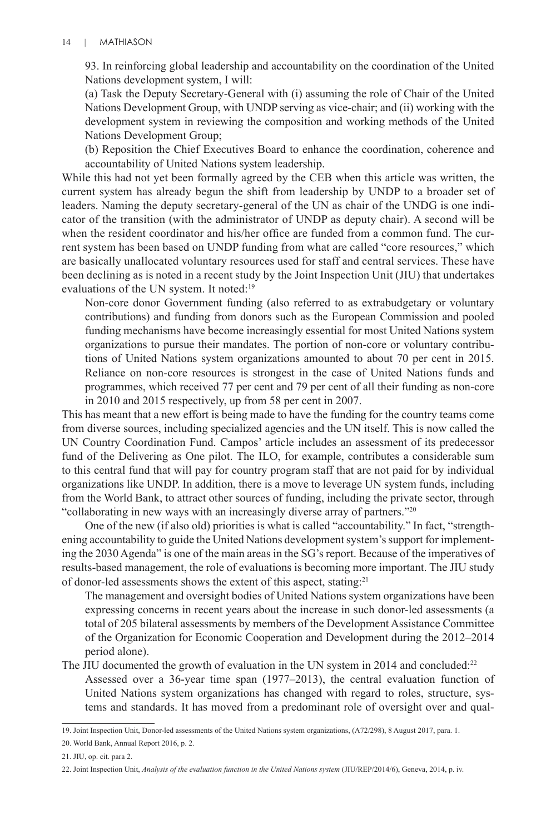93. In reinforcing global leadership and accountability on the coordination of the United Nations development system, I will:

(a) Task the Deputy Secretary-General with (i) assuming the role of Chair of the United Nations Development Group, with UNDP serving as vice-chair; and (ii) working with the development system in reviewing the composition and working methods of the United Nations Development Group;

(b) Reposition the Chief Executives Board to enhance the coordination, coherence and accountability of United Nations system leadership.

While this had not yet been formally agreed by the CEB when this article was written, the current system has already begun the shift from leadership by UNDP to a broader set of leaders. Naming the deputy secretary-general of the UN as chair of the UNDG is one indicator of the transition (with the administrator of UNDP as deputy chair). A second will be when the resident coordinator and his/her office are funded from a common fund. The current system has been based on UNDP funding from what are called "core resources," which are basically unallocated voluntary resources used for staff and central services. These have been declining as is noted in a recent study by the Joint Inspection Unit (JIU) that undertakes evaluations of the UN system. It noted:<sup>19</sup>

Non-core donor Government funding (also referred to as extrabudgetary or voluntary contributions) and funding from donors such as the European Commission and pooled funding mechanisms have become increasingly essential for most United Nations system organizations to pursue their mandates. The portion of non-core or voluntary contributions of United Nations system organizations amounted to about 70 per cent in 2015. Reliance on non-core resources is strongest in the case of United Nations funds and programmes, which received 77 per cent and 79 per cent of all their funding as non-core in 2010 and 2015 respectively, up from 58 per cent in 2007.

This has meant that a new effort is being made to have the funding for the country teams come from diverse sources, including specialized agencies and the UN itself. This is now called the UN Country Coordination Fund. Campos' article includes an assessment of its predecessor fund of the Delivering as One pilot. The ILO, for example, contributes a considerable sum to this central fund that will pay for country program staff that are not paid for by individual organizations like UNDP. In addition, there is a move to leverage UN system funds, including from the World Bank, to attract other sources of funding, including the private sector, through "collaborating in new ways with an increasingly diverse array of partners."20

One of the new (if also old) priorities is what is called "accountability." In fact, "strengthening accountability to guide the United Nations development system's support for implementing the 2030 Agenda" is one of the main areas in the SG's report. Because of the imperatives of results-based management, the role of evaluations is becoming more important. The JIU study of donor-led assessments shows the extent of this aspect, stating:21

The management and oversight bodies of United Nations system organizations have been expressing concerns in recent years about the increase in such donor-led assessments (a total of 205 bilateral assessments by members of the Development Assistance Committee of the Organization for Economic Cooperation and Development during the 2012–2014 period alone).

The JIU documented the growth of evaluation in the UN system in 2014 and concluded:<sup>22</sup> Assessed over a 36-year time span (1977–2013), the central evaluation function of United Nations system organizations has changed with regard to roles, structure, systems and standards. It has moved from a predominant role of oversight over and qual-

<sup>19.</sup> Joint Inspection Unit, Donor-led assessments of the United Nations system organizations, (A72/298), 8 August 2017, para. 1.

<sup>20.</sup> World Bank, Annual Report 2016, p. 2.

<sup>21.</sup> JIU, op. cit. para 2.

<sup>22.</sup> Joint Inspection Unit, *Analysis of the evaluation function in the United Nations system* (JIU/REP/2014/6), Geneva, 2014, p. iv.